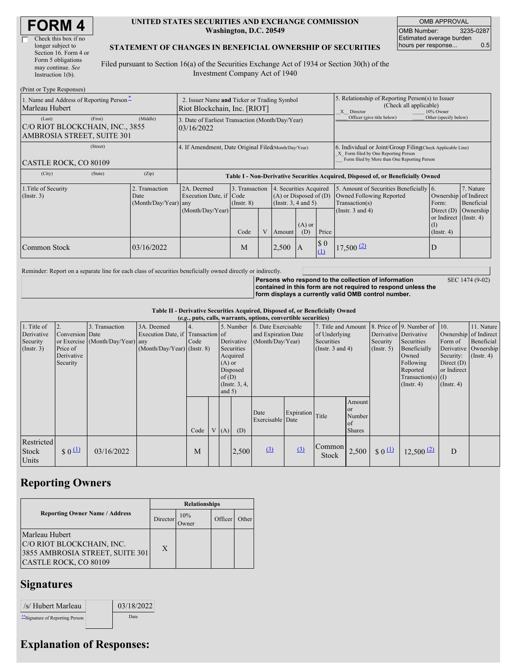| <b>FORM4</b> |
|--------------|
|--------------|

 $\Box$ 

| Check this box if no  |
|-----------------------|
| longer subject to     |
| Section 16. Form 4 or |
| Form 5 obligations    |
| may continue. See     |
| Instruction $1(b)$ .  |
|                       |

(Print or Type Responses)

#### **UNITED STATES SECURITIES AND EXCHANGE COMMISSION Washington, D.C. 20549**

OMB APPROVAL OMB Number: 3235-0287 Estimated average burden hours per response... 0.5

SEC 1474 (9-02)

#### **STATEMENT OF CHANGES IN BENEFICIAL OWNERSHIP OF SECURITIES**

Filed pursuant to Section 16(a) of the Securities Exchange Act of 1934 or Section 30(h) of the Investment Company Act of 1940

| $(1 \text{ min of 1 ypc Rcspons} \cup$<br>1. Name and Address of Reporting Person-<br>Marleau Hubert | 2. Issuer Name and Ticker or Trading Symbol<br>Riot Blockchain, Inc. [RIOT] |                                                      |                                                                                  |                                           |  |                                                                                                                    | 5. Relationship of Reporting Person(s) to Issuer<br>(Check all applicable)<br>X Director<br>10% Owner                                              |                                    |                                                                                                                |                                                                                                           |                                      |
|------------------------------------------------------------------------------------------------------|-----------------------------------------------------------------------------|------------------------------------------------------|----------------------------------------------------------------------------------|-------------------------------------------|--|--------------------------------------------------------------------------------------------------------------------|----------------------------------------------------------------------------------------------------------------------------------------------------|------------------------------------|----------------------------------------------------------------------------------------------------------------|-----------------------------------------------------------------------------------------------------------|--------------------------------------|
| (Last)<br>C/O RIOT BLOCKCHAIN, INC., 3855<br>AMBROSIA STREET, SUITE 301                              | (First)                                                                     | (Middle)                                             | 3. Date of Earliest Transaction (Month/Day/Year)<br>03/16/2022                   |                                           |  |                                                                                                                    |                                                                                                                                                    |                                    | Officer (give title below)                                                                                     | Other (specify below)                                                                                     |                                      |
| CASTLE ROCK, CO 80109                                                                                |                                                                             | 4. If Amendment, Date Original Filed(Month/Day/Year) |                                                                                  |                                           |  |                                                                                                                    | 6. Individual or Joint/Group Filing Check Applicable Line)<br>X Form filed by One Reporting Person<br>Form filed by More than One Reporting Person |                                    |                                                                                                                |                                                                                                           |                                      |
| (City)                                                                                               | (State)                                                                     | (Zip)                                                | Table I - Non-Derivative Securities Acquired, Disposed of, or Beneficially Owned |                                           |  |                                                                                                                    |                                                                                                                                                    |                                    |                                                                                                                |                                                                                                           |                                      |
| 1. Title of Security<br>$($ Instr. 3 $)$                                                             |                                                                             | 2. Transaction<br>Date<br>$(Month/Day/Year)$ any     | 2A. Deemed<br>Execution Date, if Code<br>(Month/Day/Year)                        | 3. Transaction<br>$($ Instr. $8)$<br>Code |  | 4. Securities Acquired<br>$(A)$ or Disposed of $(D)$<br>(Insert. 3, 4 and 5)<br>$(A)$ or<br>Price<br>(D)<br>Amount |                                                                                                                                                    |                                    | 5. Amount of Securities Beneficially 6.<br>Owned Following Reported<br>Transaction(s)<br>(Instr. $3$ and $4$ ) | Ownership of Indirect<br>Form:<br>Direct $(D)$<br>or Indirect $($ Instr. 4 $)$<br>(I)<br>$($ Instr. 4 $)$ | 7. Nature<br>Beneficial<br>Ownership |
| Common Stock                                                                                         |                                                                             | 03/16/2022                                           |                                                                                  | M                                         |  | 2,500                                                                                                              | $\mathsf{I}$ A                                                                                                                                     | $\boldsymbol{\mathsf{S}}$ 0<br>(1) | 17,500(2)                                                                                                      | D                                                                                                         |                                      |

Reminder: Report on a separate line for each class of securities beneficially owned directly or indirectly.

**Persons who respond to the collection of information contained in this form are not required to respond unless the form displays a currently valid OMB control number.**

**Table II - Derivative Securities Acquired, Disposed of, or Beneficially Owned**

| (e.g., puts, calls, warrants, options, convertible securities) |                                                             |                                                    |                                                                                  |      |  |                                  |                                                                                  |                                                                |                  |                                                                        |                                                          |                                |                                                                                                                                                                   |                                                                                                                |                                                           |
|----------------------------------------------------------------|-------------------------------------------------------------|----------------------------------------------------|----------------------------------------------------------------------------------|------|--|----------------------------------|----------------------------------------------------------------------------------|----------------------------------------------------------------|------------------|------------------------------------------------------------------------|----------------------------------------------------------|--------------------------------|-------------------------------------------------------------------------------------------------------------------------------------------------------------------|----------------------------------------------------------------------------------------------------------------|-----------------------------------------------------------|
| 1. Title of<br>Derivative<br>Security<br>$($ Instr. 3 $)$      | 2.<br>Conversion Date<br>Price of<br>Derivative<br>Security | 3. Transaction<br>or Exercise (Month/Day/Year) any | 3A. Deemed<br>Execution Date, if Transaction of<br>$(Month/Day/Year)$ (Instr. 8) | Code |  | $(A)$ or<br>of $(D)$<br>and $5)$ | 5. Number<br>Derivative<br>Securities<br>Acquired<br>Disposed<br>(Instr. $3, 4,$ | 6. Date Exercisable<br>and Expiration Date<br>(Month/Day/Year) |                  | 7. Title and Amount<br>of Underlying<br>Securities<br>(Instr. 3 and 4) |                                                          | Security<br>(Insert. 5)        | 8. Price of 9. Number of 10.<br>Derivative Derivative<br>Securities<br>Beneficially<br>Owned<br>Following<br>Reported<br>$Transaction(s)$ (I)<br>$($ Instr. 4 $)$ | Ownership of Indirect<br>Form of<br>Derivative<br>Security:<br>Direct $(D)$<br>or Indirect<br>$($ Instr. 4 $)$ | 11. Nature<br>Beneficial<br>Ownership<br>$($ Instr. 4 $)$ |
|                                                                |                                                             |                                                    |                                                                                  | Code |  | V(A)                             | (D)                                                                              | Date<br>Exercisable Date                                       | Expiration Title |                                                                        | Amount<br><sub>or</sub><br>Number<br>of<br><b>Shares</b> |                                |                                                                                                                                                                   |                                                                                                                |                                                           |
| Restricted<br>Stock<br>Units                                   | $$0^{\underline{11}}$$                                      | 03/16/2022                                         |                                                                                  | M    |  |                                  | 2,500                                                                            | (3)                                                            | (3)              | Common<br><b>Stock</b>                                                 | 2,500                                                    | $\frac{1}{2}$ 0 $\frac{11}{2}$ | $12,500$ $(2)$                                                                                                                                                    | D                                                                                                              |                                                           |

# **Reporting Owners**

|                                                                                                         | <b>Relationships</b> |                      |         |              |  |  |  |  |
|---------------------------------------------------------------------------------------------------------|----------------------|----------------------|---------|--------------|--|--|--|--|
| <b>Reporting Owner Name / Address</b>                                                                   | Director             | 10%<br><b>J</b> wner | Officer | <b>Other</b> |  |  |  |  |
| Marleau Hubert<br>C/O RIOT BLOCKCHAIN, INC.<br>3855 AMBROSIA STREET, SUITE 301<br>CASTLE ROCK, CO 80109 | X                    |                      |         |              |  |  |  |  |

### **Signatures**

| /s/ Hubert Marleau               | 03/18/2022 |
|----------------------------------|------------|
| ** Signature of Reporting Person | Date       |

# **Explanation of Responses:**